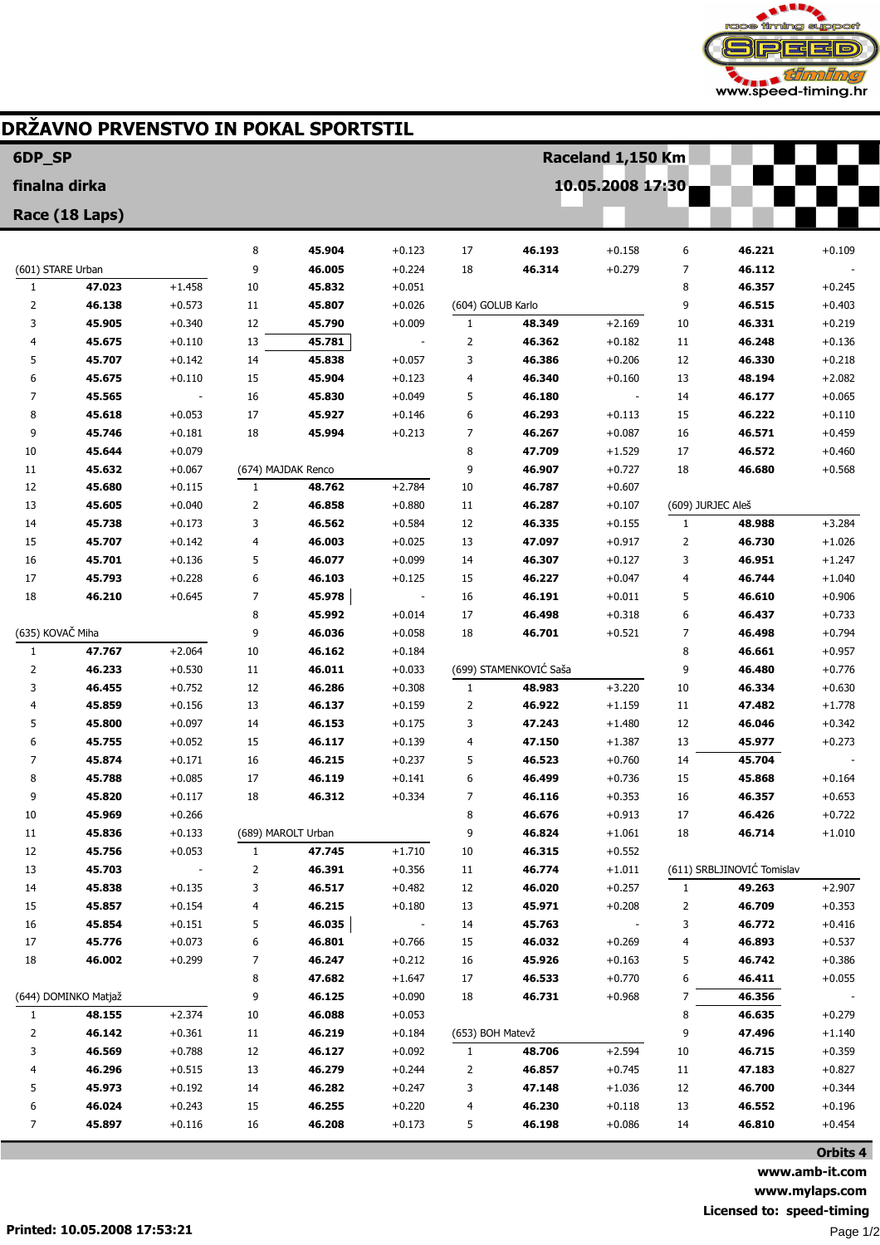

## DRŽAVNO PRVENSTVO IN POKAL SPORTSTIL

| 6DP_SP            |                      |                      |                |                    |                      |                                   |                        | Raceland 1,150 Km    |                   |                            |                      |
|-------------------|----------------------|----------------------|----------------|--------------------|----------------------|-----------------------------------|------------------------|----------------------|-------------------|----------------------------|----------------------|
| finalna dirka     |                      |                      |                |                    |                      |                                   |                        | 10.05.2008 17:30     |                   |                            |                      |
|                   | Race (18 Laps)       |                      |                |                    |                      |                                   |                        |                      |                   |                            |                      |
|                   |                      |                      |                |                    |                      |                                   |                        |                      |                   |                            |                      |
|                   |                      |                      | 8              | 45.904             | $+0.123$             | 17                                | 46.193                 | $+0.158$             | 6                 | 46.221                     | $+0.109$             |
| (601) STARE Urban |                      |                      | 9              | 46.005             | $+0.224$             | 18                                | 46.314                 | $+0.279$             | 7                 | 46.112                     |                      |
| $\mathbf{1}$      | 47.023               | $+1.458$             | 10             | 45.832             | $+0.051$             |                                   |                        |                      | 8                 | 46.357                     | $+0.245$             |
| 2<br>3            | 46.138<br>45.905     | $+0.573$<br>$+0.340$ | 11<br>12       | 45.807<br>45.790   | $+0.026$<br>$+0.009$ | (604) GOLUB Karlo<br>$\mathbf{1}$ | 48.349                 | $+2.169$             | 9<br>10           | 46.515<br>46.331           | $+0.403$<br>$+0.219$ |
| 4                 | 45.675               | $+0.110$             | 13             | 45.781             |                      | $\overline{2}$                    | 46.362                 | $+0.182$             | 11                | 46.248                     | $+0.136$             |
| 5                 | 45.707               | $+0.142$             | 14             | 45.838             | $+0.057$             | 3                                 | 46.386                 | $+0.206$             | 12                | 46.330                     | $+0.218$             |
| 6                 | 45.675               | $+0.110$             | 15             | 45.904             | $+0.123$             | $\overline{4}$                    | 46.340                 | $+0.160$             | 13                | 48.194                     | $+2.082$             |
| 7                 | 45.565               |                      | 16             | 45.830             | $+0.049$             | 5                                 | 46.180                 |                      | 14                | 46.177                     | $+0.065$             |
| 8                 | 45.618               | $+0.053$             | 17             | 45.927             | $+0.146$             | 6                                 | 46.293                 | $+0.113$             | 15                | 46.222                     | $+0.110$             |
| 9                 | 45.746               | $+0.181$             | 18             | 45.994             | $+0.213$             | 7                                 | 46.267                 | $+0.087$             | 16                | 46.571                     | $+0.459$             |
| 10                | 45.644               | $+0.079$             |                |                    |                      | 8                                 | 47.709                 | $+1.529$             | 17                | 46.572                     | $+0.460$             |
| 11                | 45.632               | $+0.067$             |                | (674) MAJDAK Renco |                      | 9                                 | 46.907                 | $+0.727$             | 18                | 46.680                     | $+0.568$             |
| 12                | 45.680               | $+0.115$             | $\mathbf{1}$   | 48.762             | $+2.784$             | 10                                | 46.787                 | $+0.607$             |                   |                            |                      |
| 13                | 45.605               | $+0.040$             | $\overline{2}$ | 46.858             | $+0.880$             | 11                                | 46.287                 | $+0.107$             | (609) JURJEC Aleš |                            |                      |
| 14                | 45.738               | $+0.173$             | 3              | 46.562             | $+0.584$             | 12                                | 46.335                 | $+0.155$             | $\mathbf{1}$      | 48.988                     | $+3.284$             |
| 15                | 45.707               | $+0.142$             | $\overline{4}$ | 46.003             | $+0.025$             | 13                                | 47.097                 | $+0.917$             | $\overline{2}$    | 46.730                     | $+1.026$             |
| 16                | 45.701               | $+0.136$             | 5              | 46.077             | $+0.099$             | 14                                | 46.307                 | $+0.127$             | 3                 | 46.951                     | $+1.247$             |
| 17                | 45.793               | $+0.228$             | 6              | 46.103             | $+0.125$             | 15                                | 46.227                 | $+0.047$             | 4                 | 46.744                     | $+1.040$             |
| 18                | 46.210               | $+0.645$             | $\overline{7}$ | 45.978             |                      | 16                                | 46.191                 | $+0.011$             | 5                 | 46.610                     | $+0.906$             |
|                   |                      |                      | 8              | 45.992             | $+0.014$             | 17                                | 46.498                 | $+0.318$             | 6                 | 46.437                     | $+0.733$             |
| (635) KOVAČ Miha  |                      |                      | 9              | 46.036             | $+0.058$             | 18                                | 46.701                 | $+0.521$             | 7                 | 46.498                     | $+0.794$             |
| $\mathbf{1}$      | 47.767               | $+2.064$             | 10             | 46.162             | $+0.184$             |                                   |                        |                      | 8                 | 46.661                     | $+0.957$             |
| 2                 | 46.233               | $+0.530$             | 11             | 46.011             | $+0.033$             |                                   | (699) STAMENKOVIĆ Saša |                      | 9                 | 46.480                     | $+0.776$             |
| 3                 | 46.455               | $+0.752$             | 12             | 46.286             | $+0.308$             | $\mathbf{1}$                      | 48.983                 | $+3.220$             | 10                | 46.334                     | $+0.630$             |
| 4                 | 45.859               | $+0.156$             | 13             | 46.137             | $+0.159$             | 2                                 | 46.922                 | $+1.159$             | 11                | 47.482                     | $+1.778$             |
| 5                 | 45.800               | $+0.097$             | 14             | 46.153             | $+0.175$             | 3                                 | 47.243                 | $+1.480$             | 12                | 46.046                     | $+0.342$             |
| 6<br>7            | 45.755<br>45.874     | $+0.052$             | 15<br>16       | 46.117<br>46.215   | $+0.139$             | $\overline{4}$                    | 47.150<br>46.523       | $+1.387$             | 13                | 45.977<br>45.704           | $+0.273$             |
| 8                 | 45.788               | $+0.171$<br>$+0.085$ | 17             | 46.119             | $+0.237$<br>$+0.141$ | 5<br>6                            | 46.499                 | $+0.760$<br>$+0.736$ | 14<br>15          | 45.868                     | $+0.164$             |
| 9                 | 45.820               | $+0.117$             | 18             | 46.312             | $+0.334$             | 7                                 | 46.116                 | $+0.353$             | 16                | 46.357                     | $+0.653$             |
| 10                | 45.969               | $+0.266$             |                |                    |                      | 8                                 | 46.676                 | $+0.913$             | 17                | 46.426                     | $+0.722$             |
| 11                | 45.836               | $+0.133$             |                | (689) MAROLT Urban |                      | 9                                 | 46.824                 | $+1.061$             | 18                | 46.714                     | $+1.010$             |
| 12                | 45.756               | $+0.053$             | $\mathbf{1}$   | 47.745             | $+1.710$             | 10                                | 46.315                 | $+0.552$             |                   |                            |                      |
| 13                | 45.703               |                      | 2              | 46.391             | $+0.356$             | 11                                | 46.774                 | $+1.011$             |                   | (611) SRBLJINOVIĆ Tomislav |                      |
| 14                | 45.838               | $+0.135$             | 3              | 46.517             | $+0.482$             | 12                                | 46.020                 | $+0.257$             | $\mathbf{1}$      | 49.263                     | $+2.907$             |
| 15                | 45.857               | +0.154               | 4              | 46.215             | $+0.180$             | 13                                | 45.971                 | $+0.208$             | 2                 | 46.709                     | $+0.353$             |
| 16                | 45.854               | $+0.151$             | 5              | 46.035             |                      | 14                                | 45.763                 |                      | 3                 | 46.772                     | $+0.416$             |
| 17                | 45.776               | $+0.073$             | 6              | 46.801             | $+0.766$             | 15                                | 46.032                 | $+0.269$             | 4                 | 46.893                     | $+0.537$             |
| 18                | 46.002               | $+0.299$             | 7              | 46.247             | $+0.212$             | 16                                | 45.926                 | $+0.163$             | 5                 | 46.742                     | $+0.386$             |
|                   |                      |                      | 8              | 47.682             | $+1.647$             | 17                                | 46.533                 | $+0.770$             | 6                 | 46.411                     | $+0.055$             |
|                   | (644) DOMINKO Matjaž |                      | 9              | 46.125             | $+0.090$             | 18                                | 46.731                 | $+0.968$             | 7                 | 46.356                     |                      |
| 1                 | 48.155               | $+2.374$             | 10             | 46.088             | $+0.053$             |                                   |                        |                      | 8                 | 46.635                     | $+0.279$             |
| 2                 | 46.142               | $+0.361$             | 11             | 46.219             | $+0.184$             | (653) BOH Matevž                  |                        |                      | 9                 | 47.496                     | $+1.140$             |
| 3                 | 46.569               | $+0.788$             | 12             | 46.127             | $+0.092$             | 1                                 | 48.706                 | $+2.594$             | 10                | 46.715                     | $+0.359$             |
| 4                 | 46.296               | $+0.515$             | 13             | 46.279             | $+0.244$             | 2                                 | 46.857                 | $+0.745$             | 11                | 47.183                     | $+0.827$             |
| 5                 | 45.973               | $+0.192$             | 14             | 46.282             | $+0.247$             | 3                                 | 47.148                 | $+1.036$             | 12                | 46.700                     | $+0.344$             |
| 6                 | 46.024               | $+0.243$             | 15             | 46.255             | $+0.220$             | 4                                 | 46.230                 | $+0.118$             | 13                | 46.552                     | $+0.196$             |
| 7                 | 45.897               | $+0.116$             | 16             | 46.208             | $+0.173$             | 5                                 | 46.198                 | $+0.086$             | 14                | 46.810                     | $+0.454$             |
|                   |                      |                      |                |                    |                      |                                   |                        |                      |                   |                            | Orbits 4             |

www.amb-it.com www.mylaps.com Licensed to: speed-timing Page 1/2